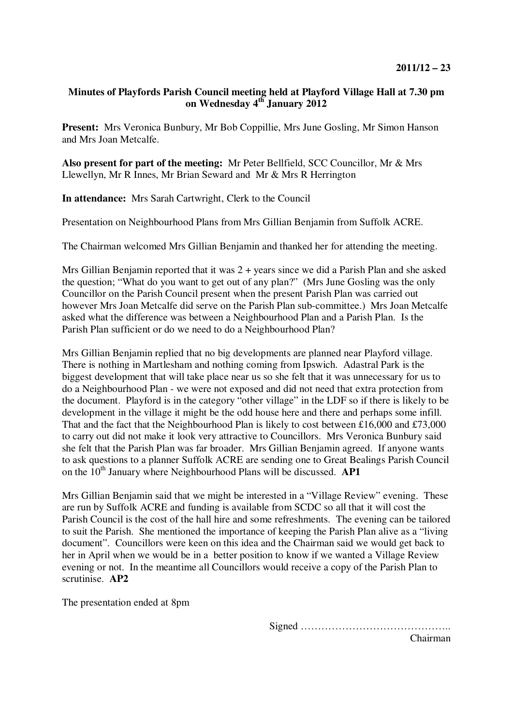### **Minutes of Playfords Parish Council meeting held at Playford Village Hall at 7.30 pm on Wednesday 4th January 2012**

**Present:** Mrs Veronica Bunbury, Mr Bob Coppillie, Mrs June Gosling, Mr Simon Hanson and Mrs Joan Metcalfe.

**Also present for part of the meeting:** Mr Peter Bellfield, SCC Councillor, Mr & Mrs Llewellyn, Mr R Innes, Mr Brian Seward and Mr & Mrs R Herrington

**In attendance:** Mrs Sarah Cartwright, Clerk to the Council

Presentation on Neighbourhood Plans from Mrs Gillian Benjamin from Suffolk ACRE.

The Chairman welcomed Mrs Gillian Benjamin and thanked her for attending the meeting.

Mrs Gillian Benjamin reported that it was  $2 +$  years since we did a Parish Plan and she asked the question; "What do you want to get out of any plan?" (Mrs June Gosling was the only Councillor on the Parish Council present when the present Parish Plan was carried out however Mrs Joan Metcalfe did serve on the Parish Plan sub-committee.) Mrs Joan Metcalfe asked what the difference was between a Neighbourhood Plan and a Parish Plan. Is the Parish Plan sufficient or do we need to do a Neighbourhood Plan?

Mrs Gillian Benjamin replied that no big developments are planned near Playford village. There is nothing in Martlesham and nothing coming from Ipswich. Adastral Park is the biggest development that will take place near us so she felt that it was unnecessary for us to do a Neighbourhood Plan - we were not exposed and did not need that extra protection from the document. Playford is in the category "other village" in the LDF so if there is likely to be development in the village it might be the odd house here and there and perhaps some infill. That and the fact that the Neighbourhood Plan is likely to cost between £16,000 and £73,000 to carry out did not make it look very attractive to Councillors. Mrs Veronica Bunbury said she felt that the Parish Plan was far broader. Mrs Gillian Benjamin agreed. If anyone wants to ask questions to a planner Suffolk ACRE are sending one to Great Bealings Parish Council on the 10th January where Neighbourhood Plans will be discussed. **AP1** 

Mrs Gillian Benjamin said that we might be interested in a "Village Review" evening. These are run by Suffolk ACRE and funding is available from SCDC so all that it will cost the Parish Council is the cost of the hall hire and some refreshments. The evening can be tailored to suit the Parish. She mentioned the importance of keeping the Parish Plan alive as a "living document". Councillors were keen on this idea and the Chairman said we would get back to her in April when we would be in a better position to know if we wanted a Village Review evening or not. In the meantime all Councillors would receive a copy of the Parish Plan to scrutinise. **AP2**

The presentation ended at 8pm

Signed ……………………………………..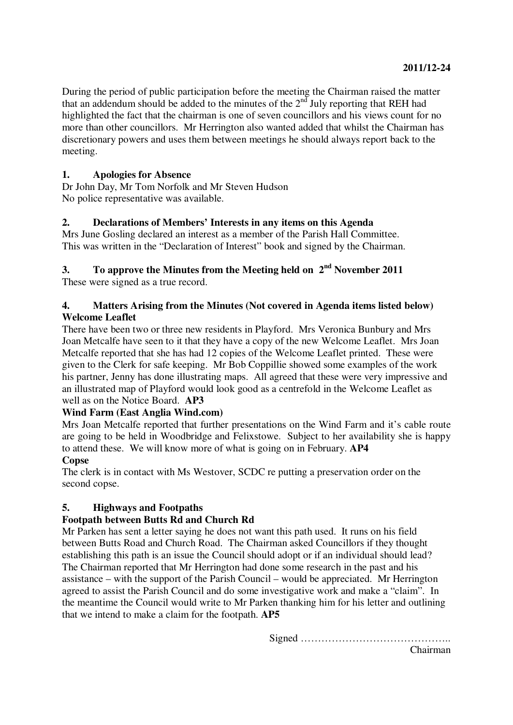During the period of public participation before the meeting the Chairman raised the matter that an addendum should be added to the minutes of the  $2<sup>nd</sup>$  July reporting that REH had highlighted the fact that the chairman is one of seven councillors and his views count for no more than other councillors. Mr Herrington also wanted added that whilst the Chairman has discretionary powers and uses them between meetings he should always report back to the meeting.

## **1. Apologies for Absence**

Dr John Day, Mr Tom Norfolk and Mr Steven Hudson No police representative was available.

## **2. Declarations of Members' Interests in any items on this Agenda**

Mrs June Gosling declared an interest as a member of the Parish Hall Committee. This was written in the "Declaration of Interest" book and signed by the Chairman.

# **3. To approve the Minutes from the Meeting held on 2nd November 2011**

These were signed as a true record.

## **4. Matters Arising from the Minutes (Not covered in Agenda items listed below) Welcome Leaflet**

There have been two or three new residents in Playford. Mrs Veronica Bunbury and Mrs Joan Metcalfe have seen to it that they have a copy of the new Welcome Leaflet. Mrs Joan Metcalfe reported that she has had 12 copies of the Welcome Leaflet printed. These were given to the Clerk for safe keeping. Mr Bob Coppillie showed some examples of the work his partner, Jenny has done illustrating maps. All agreed that these were very impressive and an illustrated map of Playford would look good as a centrefold in the Welcome Leaflet as well as on the Notice Board. **AP3** 

# **Wind Farm (East Anglia Wind.com)**

Mrs Joan Metcalfe reported that further presentations on the Wind Farm and it's cable route are going to be held in Woodbridge and Felixstowe. Subject to her availability she is happy to attend these. We will know more of what is going on in February. **AP4** 

## **Copse**

The clerk is in contact with Ms Westover, SCDC re putting a preservation order on the second copse.

# **5. Highways and Footpaths**

# **Footpath between Butts Rd and Church Rd**

Mr Parken has sent a letter saying he does not want this path used. It runs on his field between Butts Road and Church Road. The Chairman asked Councillors if they thought establishing this path is an issue the Council should adopt or if an individual should lead? The Chairman reported that Mr Herrington had done some research in the past and his assistance – with the support of the Parish Council – would be appreciated. Mr Herrington agreed to assist the Parish Council and do some investigative work and make a "claim". In the meantime the Council would write to Mr Parken thanking him for his letter and outlining that we intend to make a claim for the footpath. **AP5** 

Signed ……………………………………..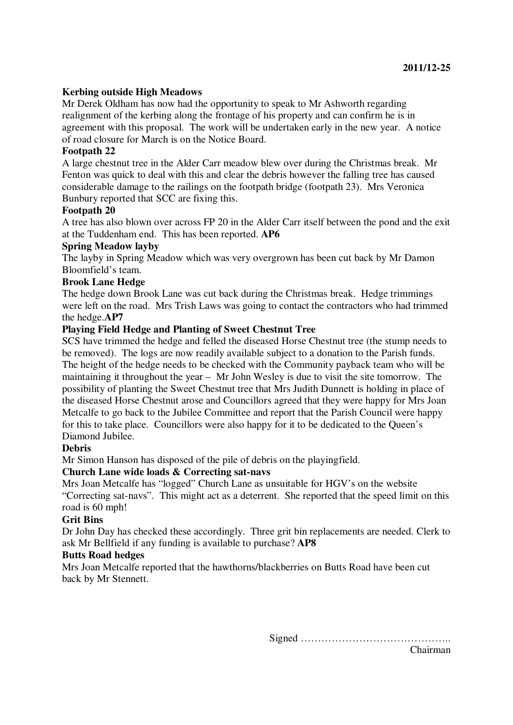### **Kerbing outside High Meadows**

Mr Derek Oldham has now had the opportunity to speak to Mr Ashworth regarding realignment of the kerbing along the frontage of his property and can confirm he is in agreement with this proposal. The work will be undertaken early in the new year. A notice of road closure for March is on the Notice Board.

#### **Footpath 22**

A large chestnut tree in the Alder Carr meadow blew over during the Christmas break. Mr Fenton was quick to deal with this and clear the debris however the falling tree has caused considerable damage to the railings on the footpath bridge (footpath 23). Mrs Veronica Bunbury reported that SCC are fixing this.

#### **Footpath 20**

A tree has also blown over across FP 20 in the Alder Carr itself between the pond and the exit at the Tuddenham end. This has been reported. **AP6**

#### **Spring Meadow layby**

The layby in Spring Meadow which was very overgrown has been cut back by Mr Damon Bloomfield's team.

#### **Brook Lane Hedge**

The hedge down Brook Lane was cut back during the Christmas break. Hedge trimmings were left on the road. Mrs Trish Laws was going to contact the contractors who had trimmed the hedge.**AP7** 

#### **Playing Field Hedge and Planting of Sweet Chestnut Tree**

SCS have trimmed the hedge and felled the diseased Horse Chestnut tree (the stump needs to be removed). The logs are now readily available subject to a donation to the Parish funds. The height of the hedge needs to be checked with the Community payback team who will be maintaining it throughout the year – Mr John Wesley is due to visit the site tomorrow. The possibility of planting the Sweet Chestnut tree that Mrs Judith Dunnett is holding in place of the diseased Horse Chestnut arose and Councillors agreed that they were happy for Mrs Joan Metcalfe to go back to the Jubilee Committee and report that the Parish Council were happy for this to take place. Councillors were also happy for it to be dedicated to the Queen's Diamond Jubilee.

#### **Debris**

Mr Simon Hanson has disposed of the pile of debris on the playingfield.

#### **Church Lane wide loads & Correcting sat-navs**

Mrs Joan Metcalfe has "logged" Church Lane as unsuitable for HGV's on the website "Correcting sat-navs". This might act as a deterrent. She reported that the speed limit on this road is 60 mph!

#### **Grit Bins**

Dr John Day has checked these accordingly. Three grit bin replacements are needed. Clerk to ask Mr Bellfield if any funding is available to purchase? **AP8** 

#### **Butts Road hedges**

Mrs Joan Metcalfe reported that the hawthorns/blackberries on Butts Road have been cut back by Mr Stennett.

Signed ……………………………………..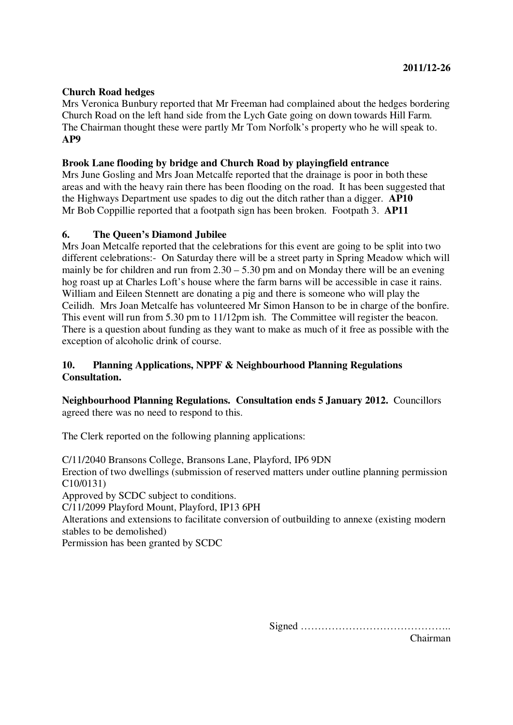#### **Church Road hedges**

Mrs Veronica Bunbury reported that Mr Freeman had complained about the hedges bordering Church Road on the left hand side from the Lych Gate going on down towards Hill Farm. The Chairman thought these were partly Mr Tom Norfolk's property who he will speak to. **AP9** 

#### **Brook Lane flooding by bridge and Church Road by playingfield entrance**

Mrs June Gosling and Mrs Joan Metcalfe reported that the drainage is poor in both these areas and with the heavy rain there has been flooding on the road. It has been suggested that the Highways Department use spades to dig out the ditch rather than a digger. **AP10**  Mr Bob Coppillie reported that a footpath sign has been broken. Footpath 3. **AP11** 

#### **6. The Queen's Diamond Jubilee**

Mrs Joan Metcalfe reported that the celebrations for this event are going to be split into two different celebrations:- On Saturday there will be a street party in Spring Meadow which will mainly be for children and run from  $2.30 - 5.30$  pm and on Monday there will be an evening hog roast up at Charles Loft's house where the farm barns will be accessible in case it rains. William and Eileen Stennett are donating a pig and there is someone who will play the Ceilidh. Mrs Joan Metcalfe has volunteered Mr Simon Hanson to be in charge of the bonfire. This event will run from 5.30 pm to 11/12pm ish. The Committee will register the beacon. There is a question about funding as they want to make as much of it free as possible with the exception of alcoholic drink of course.

### **10. Planning Applications, NPPF & Neighbourhood Planning Regulations Consultation.**

**Neighbourhood Planning Regulations. Consultation ends 5 January 2012.** Councillors agreed there was no need to respond to this.

The Clerk reported on the following planning applications:

C/11/2040 Bransons College, Bransons Lane, Playford, IP6 9DN Erection of two dwellings (submission of reserved matters under outline planning permission C10/0131) Approved by SCDC subject to conditions. C/11/2099 Playford Mount, Playford, IP13 6PH Alterations and extensions to facilitate conversion of outbuilding to annexe (existing modern stables to be demolished) Permission has been granted by SCDC

Signed ……………………………………..